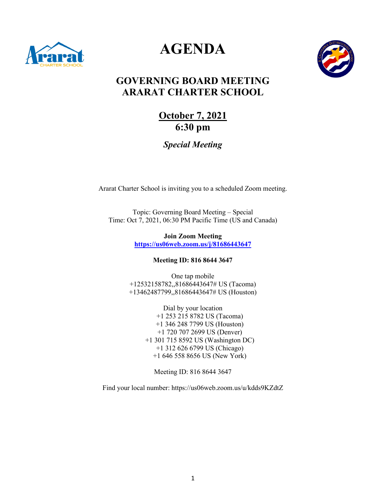

# **AGENDA**



# **GOVERNING BOARD MEETING ARARAT CHARTER SCHOOL**

# **October 7, 2021 6:30 pm**

# *Special Meeting*

Ararat Charter School is inviting you to a scheduled Zoom meeting.

Topic: Governing Board Meeting – Special Time: Oct 7, 2021, 06:30 PM Pacific Time (US and Canada)

> **Join Zoom Meeting <https://us06web.zoom.us/j/81686443647>**

> > **Meeting ID: 816 8644 3647**

One tap mobile +12532158782,,81686443647# US (Tacoma) +13462487799,,81686443647# US (Houston)

> Dial by your location +1 253 215 8782 US (Tacoma) +1 346 248 7799 US (Houston) +1 720 707 2699 US (Denver) +1 301 715 8592 US (Washington DC) +1 312 626 6799 US (Chicago) +1 646 558 8656 US (New York)

Meeting ID: 816 8644 3647

Find your local number: https://us06web.zoom.us/u/kdds9KZdtZ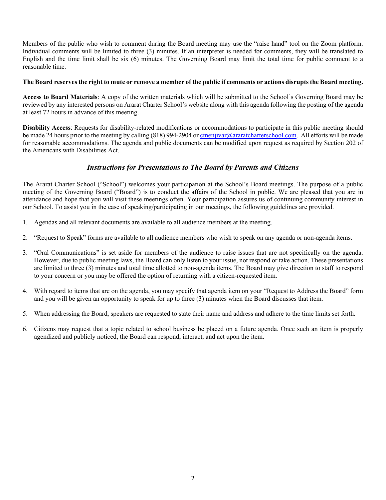Members of the public who wish to comment during the Board meeting may use the "raise hand" tool on the Zoom platform. Individual comments will be limited to three (3) minutes. If an interpreter is needed for comments, they will be translated to English and the time limit shall be six (6) minutes. The Governing Board may limit the total time for public comment to a reasonable time.

#### **The Board reserves the right to mute or remove a member of the public if comments or actions disrupts the Board meeting.**

**Access to Board Materials**: A copy of the written materials which will be submitted to the School's Governing Board may be reviewed by any interested persons on Ararat Charter School's website along with this agenda following the posting of the agenda at least 72 hours in advance of this meeting.

**Disability Access**: Requests for disability-related modifications or accommodations to participate in this public meeting should be made 24 hours prior to the meeting by calling (818) 994-2904 o[r cmenjivar@araratcharterschool.com.](mailto:cmenjivar@araratcharterschool.com) All efforts will be made for reasonable accommodations. The agenda and public documents can be modified upon request as required by Section 202 of the Americans with Disabilities Act.

### *Instructions for Presentations to The Board by Parents and Citizens*

The Ararat Charter School ("School") welcomes your participation at the School's Board meetings. The purpose of a public meeting of the Governing Board ("Board") is to conduct the affairs of the School in public. We are pleased that you are in attendance and hope that you will visit these meetings often. Your participation assures us of continuing community interest in our School. To assist you in the ease of speaking/participating in our meetings, the following guidelines are provided.

- 1. Agendas and all relevant documents are available to all audience members at the meeting.
- 2. "Request to Speak" forms are available to all audience members who wish to speak on any agenda or non-agenda items.
- 3. "Oral Communications" is set aside for members of the audience to raise issues that are not specifically on the agenda. However, due to public meeting laws, the Board can only listen to your issue, not respond or take action. These presentations are limited to three (3) minutes and total time allotted to non-agenda items. The Board may give direction to staff to respond to your concern or you may be offered the option of returning with a citizen-requested item.
- 4. With regard to items that are on the agenda, you may specify that agenda item on your "Request to Address the Board" form and you will be given an opportunity to speak for up to three (3) minutes when the Board discusses that item.
- 5. When addressing the Board, speakers are requested to state their name and address and adhere to the time limits set forth.
- 6. Citizens may request that a topic related to school business be placed on a future agenda. Once such an item is properly agendized and publicly noticed, the Board can respond, interact, and act upon the item.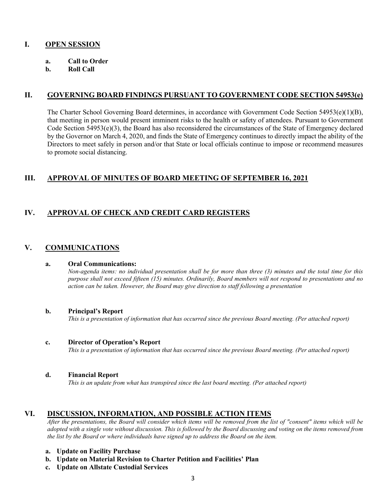### **I. OPEN SESSION**

- **a. Call to Order**
- **b. Roll Call**

# **II. GOVERNING BOARD FINDINGS PURSUANT TO GOVERNMENT CODE SECTION 54953(e)**

The Charter School Governing Board determines, in accordance with Government Code Section 54953(e)(1)(B), that meeting in person would present imminent risks to the health or safety of attendees. Pursuant to Government Code Section 54953(e)(3), the Board has also reconsidered the circumstances of the State of Emergency declared by the Governor on March 4, 2020, and finds the State of Emergency continues to directly impact the ability of the Directors to meet safely in person and/or that State or local officials continue to impose or recommend measures to promote social distancing.

### **III. APPROVAL OF MINUTES OF BOARD MEETING OF SEPTEMBER 16, 2021**

# **IV. APPROVAL OF CHECK AND CREDIT CARD REGISTERS**

# **V. COMMUNICATIONS**

#### **a. Oral Communications:**

*Non-agenda items: no individual presentation shall be for more than three (3) minutes and the total time for this purpose shall not exceed fifteen (15) minutes. Ordinarily, Board members will not respond to presentations and no action can be taken. However, the Board may give direction to staff following a presentation*

#### **b. Principal's Report**

*This is a presentation of information that has occurred since the previous Board meeting. (Per attached report)*

#### **c. Director of Operation's Report**

*This is a presentation of information that has occurred since the previous Board meeting. (Per attached report)*

#### **d. Financial Report**

*This is an update from what has transpired since the last board meeting. (Per attached report)*

# **VI. DISCUSSION, INFORMATION, AND POSSIBLE ACTION ITEMS**

*After the presentations, the Board will consider which items will be removed from the list of "consent" items which will be adopted with a single vote without discussion. This is followed by the Board discussing and voting on the items removed from the list by the Board or where individuals have signed up to address the Board on the item.*

- **a. Update on Facility Purchase**
- **b. Update on Material Revision to Charter Petition and Facilities' Plan**
- **c. Update on Allstate Custodial Services**